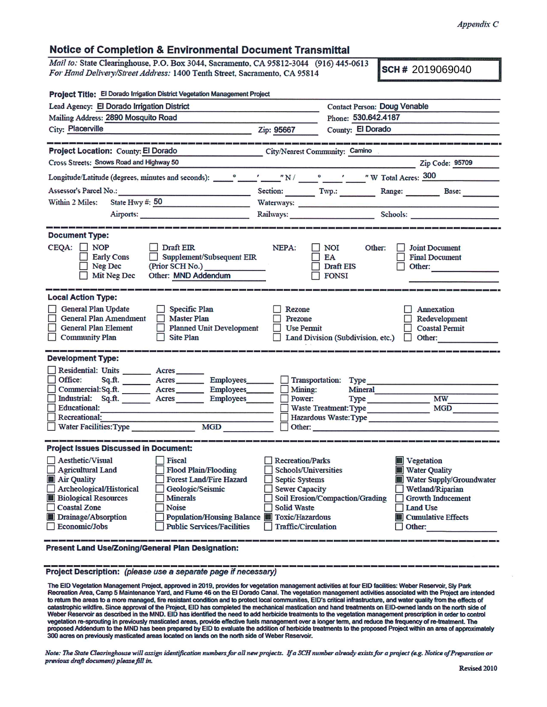## **Notice of Completion & Environmental Document Transmittal**

*Mail to:* **State Clearinghouse. P.O. Box 3044. Sacramento. CA 95812-3044 (916) 445-0613**  $For$  *Hand Delivery/Street Address:* 1400 Tenth Street, Sacramento, CA 95814

**SCH # 2019069040** 

| Project Title: El Dorado Irrigation District Vegetation Management Project                                                                                                                                                                                                                                                                                                                                                  |                                                                                                                                                                                                                                |                                                                                                         |                                                                                                                                                                |  |  |  |
|-----------------------------------------------------------------------------------------------------------------------------------------------------------------------------------------------------------------------------------------------------------------------------------------------------------------------------------------------------------------------------------------------------------------------------|--------------------------------------------------------------------------------------------------------------------------------------------------------------------------------------------------------------------------------|---------------------------------------------------------------------------------------------------------|----------------------------------------------------------------------------------------------------------------------------------------------------------------|--|--|--|
| Lead Agency: El Dorado Irrigation District                                                                                                                                                                                                                                                                                                                                                                                  |                                                                                                                                                                                                                                | <b>Contact Person: Doug Venable</b>                                                                     |                                                                                                                                                                |  |  |  |
| Mailing Address: 2890 Mosquito Road                                                                                                                                                                                                                                                                                                                                                                                         |                                                                                                                                                                                                                                | Phone: 530.642.4187                                                                                     |                                                                                                                                                                |  |  |  |
| City: Placerville                                                                                                                                                                                                                                                                                                                                                                                                           | Zip: 95667                                                                                                                                                                                                                     | County: El Dorado                                                                                       |                                                                                                                                                                |  |  |  |
|                                                                                                                                                                                                                                                                                                                                                                                                                             |                                                                                                                                                                                                                                |                                                                                                         |                                                                                                                                                                |  |  |  |
| Project Location: County: El Dorado                                                                                                                                                                                                                                                                                                                                                                                         | City/Nearest Community: Camino                                                                                                                                                                                                 |                                                                                                         |                                                                                                                                                                |  |  |  |
| Cross Streets: Snows Road and Highway 50                                                                                                                                                                                                                                                                                                                                                                                    |                                                                                                                                                                                                                                |                                                                                                         | Zip Code: 95709                                                                                                                                                |  |  |  |
|                                                                                                                                                                                                                                                                                                                                                                                                                             |                                                                                                                                                                                                                                |                                                                                                         |                                                                                                                                                                |  |  |  |
| Assessor's Parcel No.:                                                                                                                                                                                                                                                                                                                                                                                                      | Section: Twp.:                                                                                                                                                                                                                 |                                                                                                         | Range: Base:                                                                                                                                                   |  |  |  |
| State Hwy #: 50<br>Within 2 Miles:                                                                                                                                                                                                                                                                                                                                                                                          | Waterways: New York Press, New York Press, New York Press, New York Press, New York Press, New York Press, New York Press, New York Press, New York Press, New York Press, New York Press, New York Press, New York Press, New |                                                                                                         |                                                                                                                                                                |  |  |  |
| Airports: Airports:                                                                                                                                                                                                                                                                                                                                                                                                         |                                                                                                                                                                                                                                | Railways: Schools:                                                                                      |                                                                                                                                                                |  |  |  |
|                                                                                                                                                                                                                                                                                                                                                                                                                             |                                                                                                                                                                                                                                |                                                                                                         |                                                                                                                                                                |  |  |  |
| <b>Document Type:</b><br>$CEQA: \Box NOP$<br>$\Box$ Draft EIR<br><b>Early Cons</b><br>Supplement/Subsequent EIR<br>$\Box$<br>$\Box$ Neg Dec<br>(Prior SCH No.)<br>Other: MND Addendum<br>Mit Neg Dec                                                                                                                                                                                                                        | NEPA:                                                                                                                                                                                                                          | NOI<br>Other:<br>EA<br>Draft EIS<br><b>FONSI</b>                                                        | <b>Joint Document</b><br><b>Final Document</b><br>Other:                                                                                                       |  |  |  |
| <b>Local Action Type:</b><br>General Plan Update<br>Specific Plan<br><b>General Plan Amendment</b><br><b>Master Plan</b><br><b>General Plan Element</b><br><b>Planned Unit Development</b><br><b>Community Plan</b><br><b>Site Plan</b>                                                                                                                                                                                     | Rezone<br>Prezone<br>Use Permit                                                                                                                                                                                                | Land Division (Subdivision, etc.)                                                                       | Annexation<br>Redevelopment<br><b>Coastal Permit</b><br>Other:<br>$\mathbf{1}$                                                                                 |  |  |  |
| <b>Development Type:</b>                                                                                                                                                                                                                                                                                                                                                                                                    |                                                                                                                                                                                                                                |                                                                                                         |                                                                                                                                                                |  |  |  |
| Residential: Units ________ Acres ______<br>Office:<br>Sq.ft.<br>Acres<br>Employees___<br>Commercial: Sq.ft. Acres Employees<br>Industrial: Sq.ft. Acres<br><b>Employees</b><br><b>Educational:</b><br><b>Recreational:</b><br>Water Facilities: Type<br><b>MGD</b>                                                                                                                                                         | Mining:<br>Power:<br>Other:                                                                                                                                                                                                    | Transportation: Type<br>Mineral<br><b>Type</b><br>Waste Treatment: Type<br><b>Hazardous Waste: Type</b> | <b>MW</b><br>MGD                                                                                                                                               |  |  |  |
| <b>Project Issues Discussed in Document:</b>                                                                                                                                                                                                                                                                                                                                                                                |                                                                                                                                                                                                                                |                                                                                                         |                                                                                                                                                                |  |  |  |
| <b>Aesthetic/Visual</b><br><b>Fiscal</b><br><b>Agricultural Land</b><br>Flood Plain/Flooding<br>Air Quality<br><b>Forest Land/Fire Hazard</b><br>Archeological/Historical<br>Geologic/Seismic<br><b>Biological Resources</b><br><b>Minerals</b><br><b>Coastal Zone</b><br><b>Noise</b><br>Drainage/Absorption<br>Population/Housing Balance <b>TE</b> Toxic/Hazardous<br><b>Public Services/Facilities</b><br>Economic/Jobs | <b>Recreation/Parks</b><br><b>Schools/Universities</b><br><b>Septic Systems</b><br><b>Sewer Capacity</b><br><b>Solid Waste</b><br>Traffic/Circulation                                                                          | Soil Erosion/Compaction/Grading Growth Inducement                                                       | <b>W</b> Vegetation<br><b>Water Quality</b><br>Water Supply/Groundwater<br>$\Box$ Wetland/Riparian<br>Land Use<br><b>Exercise</b> Cumulative Effects<br>Other: |  |  |  |
| <b>Present Land Use/Zoning/General Plan Designation:</b>                                                                                                                                                                                                                                                                                                                                                                    |                                                                                                                                                                                                                                |                                                                                                         |                                                                                                                                                                |  |  |  |

**Project Description:** *(please use <sup>a</sup> separate page if necessary)*

The EID Vegetation Management Project, approved in 2019, provides for vegetation management activities at four EID facilities: Weber Reservoir, Sly Park<br>Recreation Area, Camp 5 Maintenance Yard, and Flume 46 on the EI Dora to return the areas to <sup>a</sup> more managed, fire resistant condition and to protect local communities, EID's critical infrastructure, and water quality from the effects of catastrophic wildfire.Since approva<sup>l</sup> of the Project, EID has completed the mechanical mastication and hand treatments on EID-owned lands on the north side of Weber Reservoir as described in the MND. EID hasidentified the need to add herbicide treatments to the vegetation managemen<sup>t</sup> prescription in order to control vegetation re-sprouting in previously masticated areas, provide effective fuels managemen<sup>t</sup> over <sup>a</sup> longer term, and reduce the frequency of re-treatment The proposed Addendum to the MND has been prepared by EID to evaluate the addition of herbicide treatments to the proposed Project within an area of approximately<br>300 acres on previously masticated areas located on lands on th

Note: The State Clearinghouse will assign identification numbers for all new projects. If a SCH number already exists for a project (e.g. Notice of Preparation or *previous draft document) please fill in.*